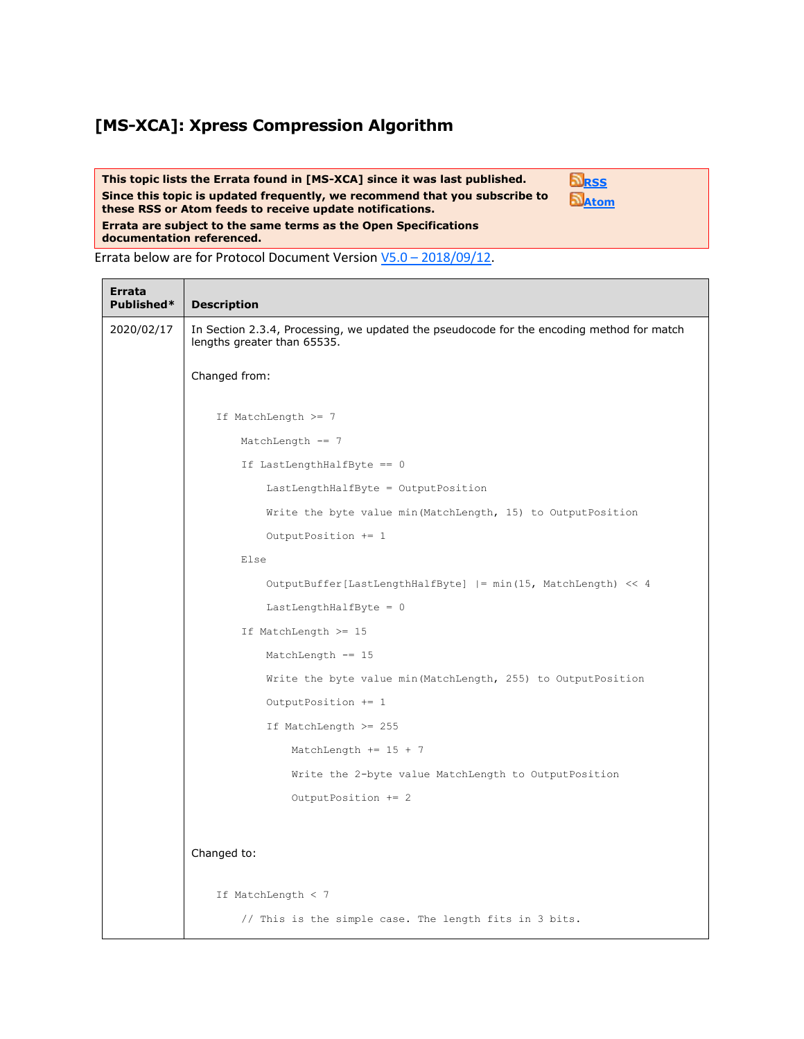## **[MS-XCA]: Xpress Compression Algorithm**

**This topic lists the Errata found in [MS-XCA] since it was last published. Since this topic is updated frequently, we recommend that you subscribe to these RSS or Atom feeds to receive update notifications. Errata are subject to the same terms as the Open Specifications documentation referenced. [RSS](http://blogs.msdn.com/b/protocol_content_errata/rss.aspx) [Atom](http://blogs.msdn.com/b/protocol_content_errata/atom.aspx)**

Errata below are for Protocol Document Version V5.0 – [2018/09/12.](https://docs.microsoft.com/en-us/openspecs/windows_protocols/ms-xca/a8b7cb0a-92a6-4187-a23b-5e14273b96f8)

Ē

| <b>Errata</b><br>Published* | <b>Description</b>                                                                                                       |
|-----------------------------|--------------------------------------------------------------------------------------------------------------------------|
| 2020/02/17                  | In Section 2.3.4, Processing, we updated the pseudocode for the encoding method for match<br>lengths greater than 65535. |
|                             | Changed from:                                                                                                            |
|                             | If MatchLength >= 7                                                                                                      |
|                             | MatchLength $- = 7$                                                                                                      |
|                             | If LastLengthHalfByte == 0                                                                                               |
|                             | LastLengthHalfByte = OutputPosition                                                                                      |
|                             | Write the byte value min (MatchLength, 15) to OutputPosition                                                             |
|                             | OutputPosition += 1                                                                                                      |
|                             | Else                                                                                                                     |
|                             | OutputBuffer[LastLengthHalfByte]  = min(15, MatchLength) << 4                                                            |
|                             | LastLengthHalfByte = $0$                                                                                                 |
|                             | If MatchLength >= 15                                                                                                     |
|                             | MatchLength $- = 15$                                                                                                     |
|                             | Write the byte value min (MatchLength, 255) to OutputPosition                                                            |
|                             | OutputPosition += 1                                                                                                      |
|                             | If MatchLength >= 255                                                                                                    |
|                             | MatchLength $+= 15 + 7$                                                                                                  |
|                             | Write the 2-byte value MatchLength to OutputPosition                                                                     |
|                             | OutputPosition += 2                                                                                                      |
|                             |                                                                                                                          |
|                             | Changed to:                                                                                                              |
|                             | If MatchLength $<$ 7                                                                                                     |
|                             | // This is the simple case. The length fits in 3 bits.                                                                   |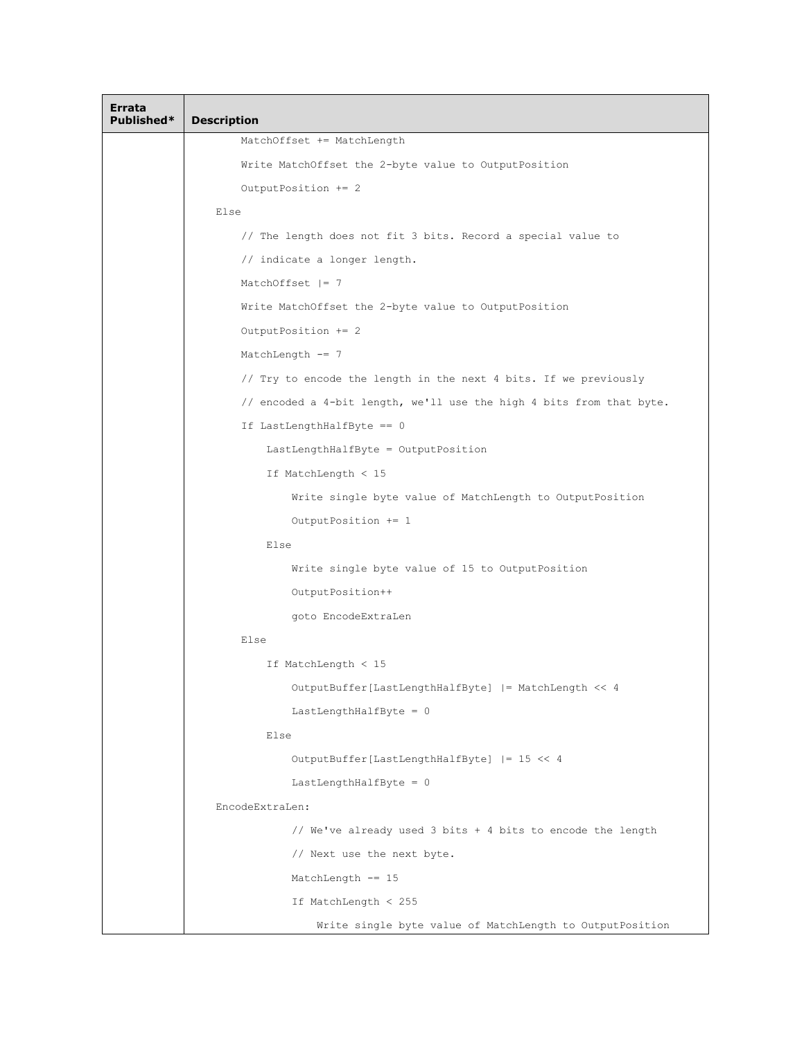| Errata<br>Published* | <b>Description</b>                                                   |
|----------------------|----------------------------------------------------------------------|
|                      | MatchOffset += MatchLength                                           |
|                      | Write MatchOffset the 2-byte value to OutputPosition                 |
|                      | OutputPosition += 2                                                  |
|                      | Else                                                                 |
|                      | // The length does not fit 3 bits. Record a special value to         |
|                      | // indicate a longer length.                                         |
|                      | MatchOffset $ = 7$                                                   |
|                      | Write MatchOffset the 2-byte value to OutputPosition                 |
|                      | OutputPosition += 2                                                  |
|                      | MatchLength $-= 7$                                                   |
|                      | // Try to encode the length in the next 4 bits. If we previously     |
|                      | // encoded a 4-bit length, we'll use the high 4 bits from that byte. |
|                      | If LastLengthHalfByte == 0                                           |
|                      | LastLengthHalfByte = OutputPosition                                  |
|                      | If MatchLength < 15                                                  |
|                      | Write single byte value of MatchLength to OutputPosition             |
|                      | OutputPosition += 1                                                  |
|                      | Else                                                                 |
|                      | Write single byte value of 15 to OutputPosition                      |
|                      | OutputPosition++                                                     |
|                      | goto EncodeExtraLen                                                  |
|                      | Else                                                                 |
|                      | If MatchLength < 15                                                  |
|                      | OutputBuffer[LastLengthHalfByte]  = MatchLength << 4                 |
|                      | LastLengthHalfByte = 0                                               |
|                      | Else                                                                 |
|                      | OutputBuffer[LastLengthHalfByte]  = 15 << 4                          |
|                      | LastLengthHalfByte = $0$                                             |
|                      | EncodeExtraLen:                                                      |
|                      | // We've already used 3 bits + 4 bits to encode the length           |
|                      | // Next use the next byte.                                           |
|                      | MatchLength $- = 15$                                                 |
|                      | If MatchLength < 255                                                 |
|                      | Write single byte value of MatchLength to OutputPosition             |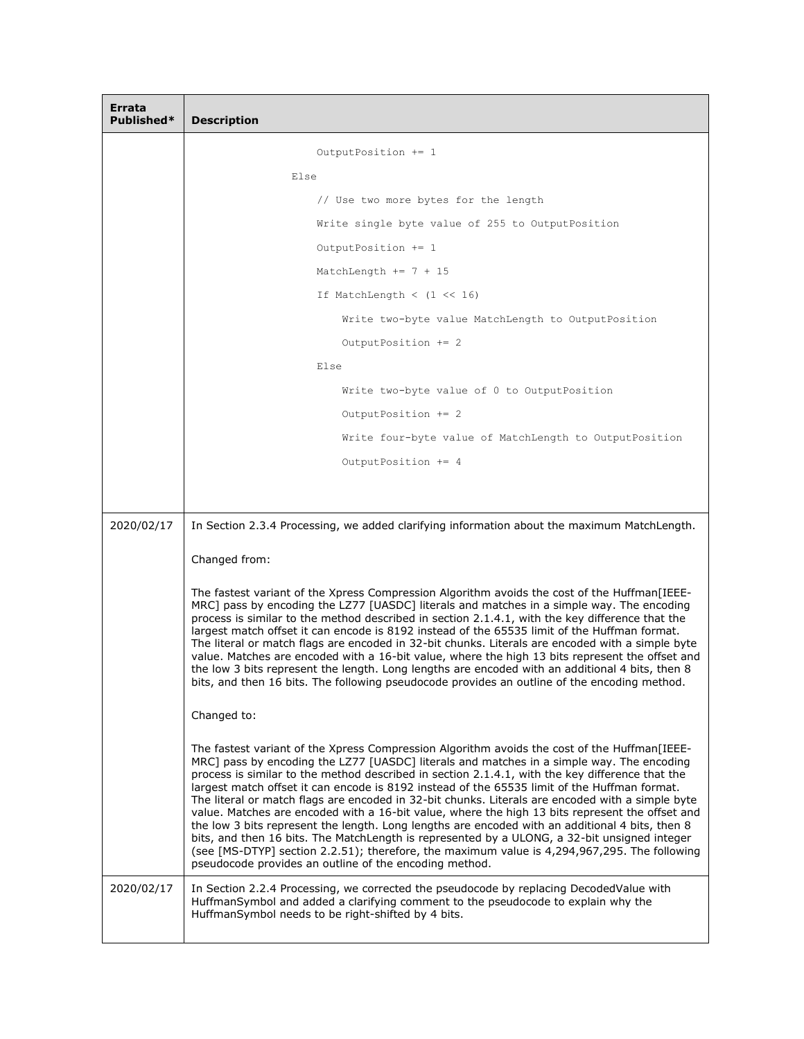| Errata<br>Published* | <b>Description</b>                                                                                                                                                                                                                                                                                                                                                                                                                                                                                                                                                                                                                                                                                                                                                                                                                                                                                                                                               |
|----------------------|------------------------------------------------------------------------------------------------------------------------------------------------------------------------------------------------------------------------------------------------------------------------------------------------------------------------------------------------------------------------------------------------------------------------------------------------------------------------------------------------------------------------------------------------------------------------------------------------------------------------------------------------------------------------------------------------------------------------------------------------------------------------------------------------------------------------------------------------------------------------------------------------------------------------------------------------------------------|
|                      | OutputPosition += 1                                                                                                                                                                                                                                                                                                                                                                                                                                                                                                                                                                                                                                                                                                                                                                                                                                                                                                                                              |
|                      | Else                                                                                                                                                                                                                                                                                                                                                                                                                                                                                                                                                                                                                                                                                                                                                                                                                                                                                                                                                             |
|                      | // Use two more bytes for the length                                                                                                                                                                                                                                                                                                                                                                                                                                                                                                                                                                                                                                                                                                                                                                                                                                                                                                                             |
|                      | Write single byte value of 255 to OutputPosition                                                                                                                                                                                                                                                                                                                                                                                                                                                                                                                                                                                                                                                                                                                                                                                                                                                                                                                 |
|                      | OutputPosition += 1                                                                                                                                                                                                                                                                                                                                                                                                                                                                                                                                                                                                                                                                                                                                                                                                                                                                                                                                              |
|                      | MatchLength $+= 7 + 15$                                                                                                                                                                                                                                                                                                                                                                                                                                                                                                                                                                                                                                                                                                                                                                                                                                                                                                                                          |
|                      | If MatchLength < $(1 \ll 16)$                                                                                                                                                                                                                                                                                                                                                                                                                                                                                                                                                                                                                                                                                                                                                                                                                                                                                                                                    |
|                      | Write two-byte value MatchLength to OutputPosition                                                                                                                                                                                                                                                                                                                                                                                                                                                                                                                                                                                                                                                                                                                                                                                                                                                                                                               |
|                      | OutputPosition += 2                                                                                                                                                                                                                                                                                                                                                                                                                                                                                                                                                                                                                                                                                                                                                                                                                                                                                                                                              |
|                      | Else                                                                                                                                                                                                                                                                                                                                                                                                                                                                                                                                                                                                                                                                                                                                                                                                                                                                                                                                                             |
|                      | Write two-byte value of 0 to OutputPosition                                                                                                                                                                                                                                                                                                                                                                                                                                                                                                                                                                                                                                                                                                                                                                                                                                                                                                                      |
|                      | OutputPosition += 2                                                                                                                                                                                                                                                                                                                                                                                                                                                                                                                                                                                                                                                                                                                                                                                                                                                                                                                                              |
|                      | Write four-byte value of MatchLength to OutputPosition                                                                                                                                                                                                                                                                                                                                                                                                                                                                                                                                                                                                                                                                                                                                                                                                                                                                                                           |
|                      | OutputPosition += 4                                                                                                                                                                                                                                                                                                                                                                                                                                                                                                                                                                                                                                                                                                                                                                                                                                                                                                                                              |
|                      |                                                                                                                                                                                                                                                                                                                                                                                                                                                                                                                                                                                                                                                                                                                                                                                                                                                                                                                                                                  |
|                      |                                                                                                                                                                                                                                                                                                                                                                                                                                                                                                                                                                                                                                                                                                                                                                                                                                                                                                                                                                  |
| 2020/02/17           | In Section 2.3.4 Processing, we added clarifying information about the maximum MatchLength.                                                                                                                                                                                                                                                                                                                                                                                                                                                                                                                                                                                                                                                                                                                                                                                                                                                                      |
|                      | Changed from:                                                                                                                                                                                                                                                                                                                                                                                                                                                                                                                                                                                                                                                                                                                                                                                                                                                                                                                                                    |
|                      | The fastest variant of the Xpress Compression Algorithm avoids the cost of the Huffman[IEEE-<br>MRC] pass by encoding the LZ77 [UASDC] literals and matches in a simple way. The encoding<br>process is similar to the method described in section 2.1.4.1, with the key difference that the<br>largest match offset it can encode is 8192 instead of the 65535 limit of the Huffman format.<br>The literal or match flags are encoded in 32-bit chunks. Literals are encoded with a simple byte<br>value. Matches are encoded with a 16-bit value, where the high 13 bits represent the offset and<br>the low 3 bits represent the length. Long lengths are encoded with an additional 4 bits, then 8<br>bits, and then 16 bits. The following pseudocode provides an outline of the encoding method.                                                                                                                                                           |
|                      | Changed to:                                                                                                                                                                                                                                                                                                                                                                                                                                                                                                                                                                                                                                                                                                                                                                                                                                                                                                                                                      |
|                      | The fastest variant of the Xpress Compression Algorithm avoids the cost of the Huffman[IEEE-<br>MRC] pass by encoding the LZ77 [UASDC] literals and matches in a simple way. The encoding<br>process is similar to the method described in section 2.1.4.1, with the key difference that the<br>largest match offset it can encode is 8192 instead of the 65535 limit of the Huffman format.<br>The literal or match flags are encoded in 32-bit chunks. Literals are encoded with a simple byte<br>value. Matches are encoded with a 16-bit value, where the high 13 bits represent the offset and<br>the low 3 bits represent the length. Long lengths are encoded with an additional 4 bits, then 8<br>bits, and then 16 bits. The MatchLength is represented by a ULONG, a 32-bit unsigned integer<br>(see [MS-DTYP] section 2.2.51); therefore, the maximum value is 4,294,967,295. The following<br>pseudocode provides an outline of the encoding method. |
| 2020/02/17           | In Section 2.2.4 Processing, we corrected the pseudocode by replacing DecodedValue with<br>HuffmanSymbol and added a clarifying comment to the pseudocode to explain why the<br>HuffmanSymbol needs to be right-shifted by 4 bits.                                                                                                                                                                                                                                                                                                                                                                                                                                                                                                                                                                                                                                                                                                                               |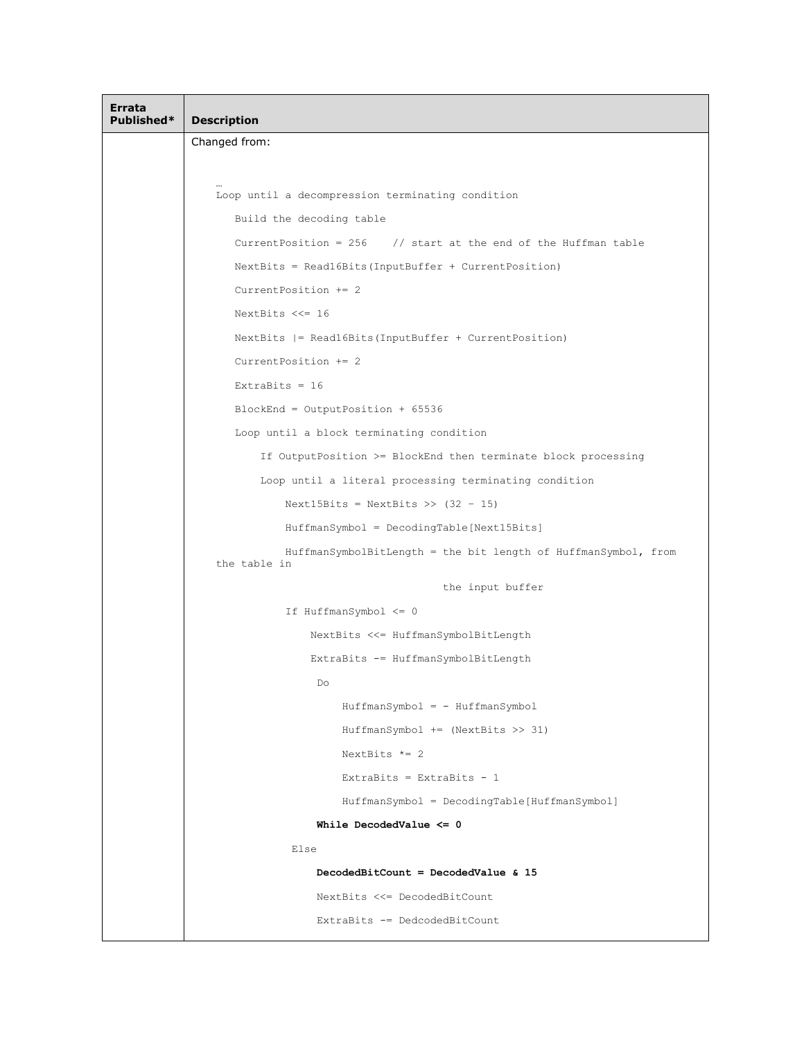| Errata<br>Published* | <b>Description</b>                                                             |
|----------------------|--------------------------------------------------------------------------------|
|                      | Changed from:                                                                  |
|                      |                                                                                |
|                      | Loop until a decompression terminating condition                               |
|                      | Build the decoding table                                                       |
|                      | Current Position = $256$ // start at the end of the Huffman table              |
|                      | $NextBits = Read16Bits (InputBuffer + CurrentPosition)$                        |
|                      | Current Position $+= 2$                                                        |
|                      | NextBits $<<= 16$                                                              |
|                      | NextBits  = Read16Bits(InputBuffer + CurrentPosition)                          |
|                      | Current Position $+= 2$                                                        |
|                      | ExtraBits = $16$                                                               |
|                      | $BlockEnd = OutputPosition + 65536$                                            |
|                      | Loop until a block terminating condition                                       |
|                      | If OutputPosition >= BlockEnd then terminate block processing                  |
|                      | Loop until a literal processing terminating condition                          |
|                      | Next15Bits = NextBits >> $(32 - 15)$                                           |
|                      | HuffmanSymbol = DecodingTable[Next15Bits]                                      |
|                      | HuffmanSymbolBitLength = the bit length of HuffmanSymbol, from<br>the table in |
|                      | the input buffer                                                               |
|                      | If $HuffmanSymbol \leq 0$                                                      |
|                      | NextBits <<= HuffmanSymbolBitLength                                            |
|                      | ExtraBits -= HuffmanSymbolBitLength                                            |
|                      | Do                                                                             |
|                      | HuffmanSymbol = - HuffmanSymbol                                                |
|                      | $HuffmanSymbol$ += (NextBits >> 31)                                            |
|                      | NextBits $*= 2$                                                                |
|                      | ExtraBits = ExtraBits - $1$                                                    |
|                      | HuffmanSymbol = DecodingTable[HuffmanSymbol]                                   |
|                      | While DecodedValue $\leq 0$                                                    |
|                      | Else                                                                           |
|                      | DecodedBitCount = DecodedValue $\&$ 15                                         |
|                      | NextBits <<= DecodedBitCount                                                   |
|                      | ExtraBits -= DedcodedBitCount                                                  |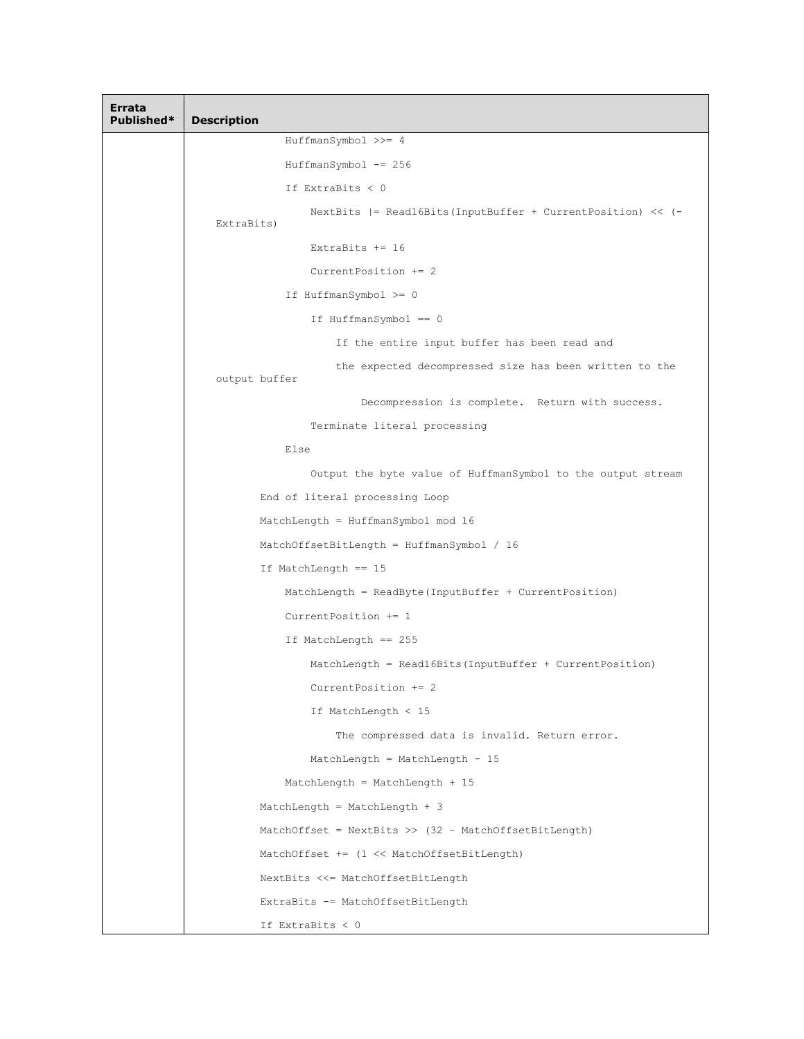| Errata<br>Published* | <b>Description</b>                                                        |
|----------------------|---------------------------------------------------------------------------|
|                      | HuffmanSymbol >>= 4                                                       |
|                      | HuffmanSymbol -= 256                                                      |
|                      | If ExtraBits $< 0$                                                        |
|                      | NextBits  = Read16Bits(InputBuffer + CurrentPosition) << (-<br>ExtraBits) |
|                      | ExtraBits $+= 16$                                                         |
|                      | CurrentPosition += 2                                                      |
|                      | If HuffmanSymbol >= 0                                                     |
|                      | If HuffmanSymbol == 0                                                     |
|                      | If the entire input buffer has been read and                              |
|                      | the expected decompressed size has been written to the<br>output buffer   |
|                      | Decompression is complete. Return with success.                           |
|                      | Terminate literal processing                                              |
|                      | Else                                                                      |
|                      | Output the byte value of HuffmanSymbol to the output stream               |
|                      | End of literal processing Loop                                            |
|                      | MatchLength = HuffmanSymbol mod 16                                        |
|                      | MatchOffsetBitLength = HuffmanSymbol / 16                                 |
|                      | If MatchLength == 15                                                      |
|                      | $MatchLength = ReadByte (InputBuffer + CurrentPosition)$                  |
|                      | CurrentPosition $+= 1$                                                    |
|                      | If MatchLength == 255                                                     |
|                      | MatchLength = Read16Bits (InputBuffer + CurrentPosition)                  |
|                      | CurrentPosition += 2                                                      |
|                      | If MatchLength $<$ 15                                                     |
|                      | The compressed data is invalid. Return error.                             |
|                      | MatchLength = MatchLength - 15                                            |
|                      | MatchLength = MatchLength + $15$                                          |
|                      | MatchLength = MatchLength + $3$                                           |
|                      | MatchOffset = $NextBits$ >> (32 - MatchOffsetBitLength)                   |
|                      | MatchOffset += (1 << MatchOffsetBitLength)                                |
|                      | NextBits <<= MatchOffsetBitLength                                         |
|                      | ExtraBits -= MatchOffsetBitLength                                         |
|                      | If ExtraBits $< 0$                                                        |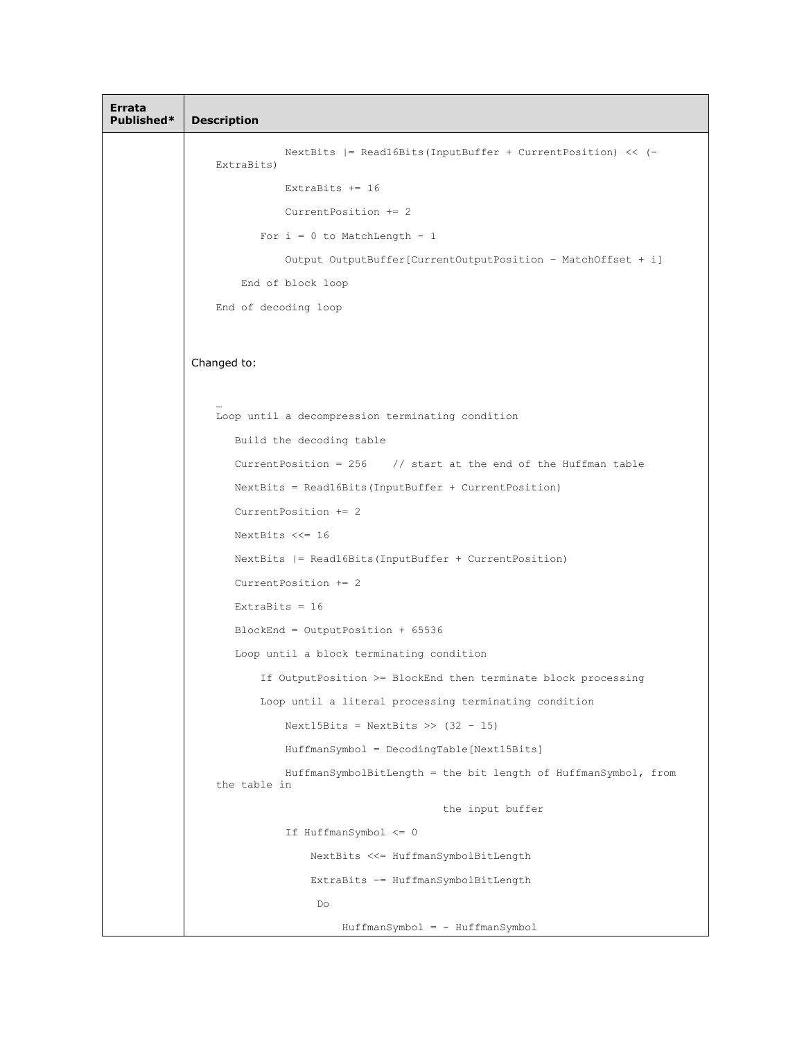```
Errata 
Description
               NextBits |= Read16Bits(InputBuffer + CurrentPosition) << (-
    ExtraBits)
               ExtraBits += 16
               CurrentPosition += 2
           For i = 0 to MatchLength - 1
               Output OutputBuffer[CurrentOutputPosition – MatchOffset + i]
        End of block loop
    End of decoding loop
Changed to:
     …
    Loop until a decompression terminating condition
       Build the decoding table
       CurrentPosition = 256 // start at the end of the Huffman table
       NextBits = Read16Bits(InputBuffer + CurrentPosition)
       CurrentPosition += 2
       NextBits <<= 16
       NextBits |= Read16Bits(InputBuffer + CurrentPosition)
       CurrentPosition += 2
       ExtraBits = 16BlockEnd = OutputPosition + 65536
       Loop until a block terminating condition
           If OutputPosition >= BlockEnd then terminate block processing
           Loop until a literal processing terminating condition
               Next15Bits = NextBits \geq (32 - 15)HuffmanSymbol = DecodingTable[Next15Bits]
               HuffmanSymbolBitLength = the bit length of HuffmanSymbol, from 
    the table in
                                        the input buffer
               If HuffmanSymbol <= 0
                   NextBits <<= HuffmanSymbolBitLength
                   ExtraBits -= HuffmanSymbolBitLength
                    Do
                        HuffmanSymbol = - HuffmanSymbol
```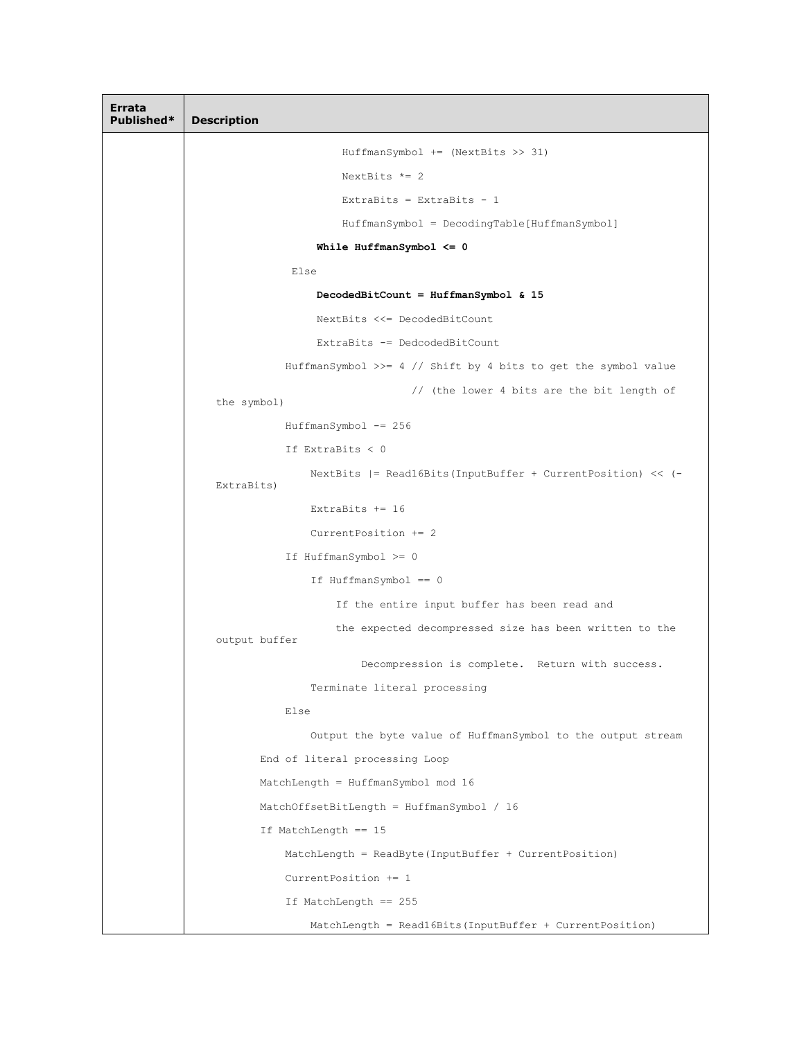**Errata Description** HuffmanSymbol += (NextBits >> 31) NextBits  $*= 2$ ExtraBits = ExtraBits - 1 HuffmanSymbol = DecodingTable[HuffmanSymbol] **While HuffmanSymbol <= 0** Else **DecodedBitCount = HuffmanSymbol & 15** NextBits <<= DecodedBitCount ExtraBits -= DedcodedBitCount HuffmanSymbol >>= 4 // Shift by 4 bits to get the symbol value // (the lower 4 bits are the bit length of the symbol) HuffmanSymbol -= 256 If ExtraBits < 0 NextBits |= Read16Bits(InputBuffer + CurrentPosition) << (- ExtraBits) ExtraBits += 16 CurrentPosition += 2 If HuffmanSymbol >= 0 If HuffmanSymbol == 0 If the entire input buffer has been read and the expected decompressed size has been written to the output buffer Decompression is complete. Return with success. Terminate literal processing Else Output the byte value of HuffmanSymbol to the output stream End of literal processing Loop MatchLength = HuffmanSymbol mod 16 MatchOffsetBitLength = HuffmanSymbol / 16 If MatchLength == 15 MatchLength = ReadByte(InputBuffer + CurrentPosition) CurrentPosition += 1 If MatchLength == 255 MatchLength = Read16Bits(InputBuffer + CurrentPosition)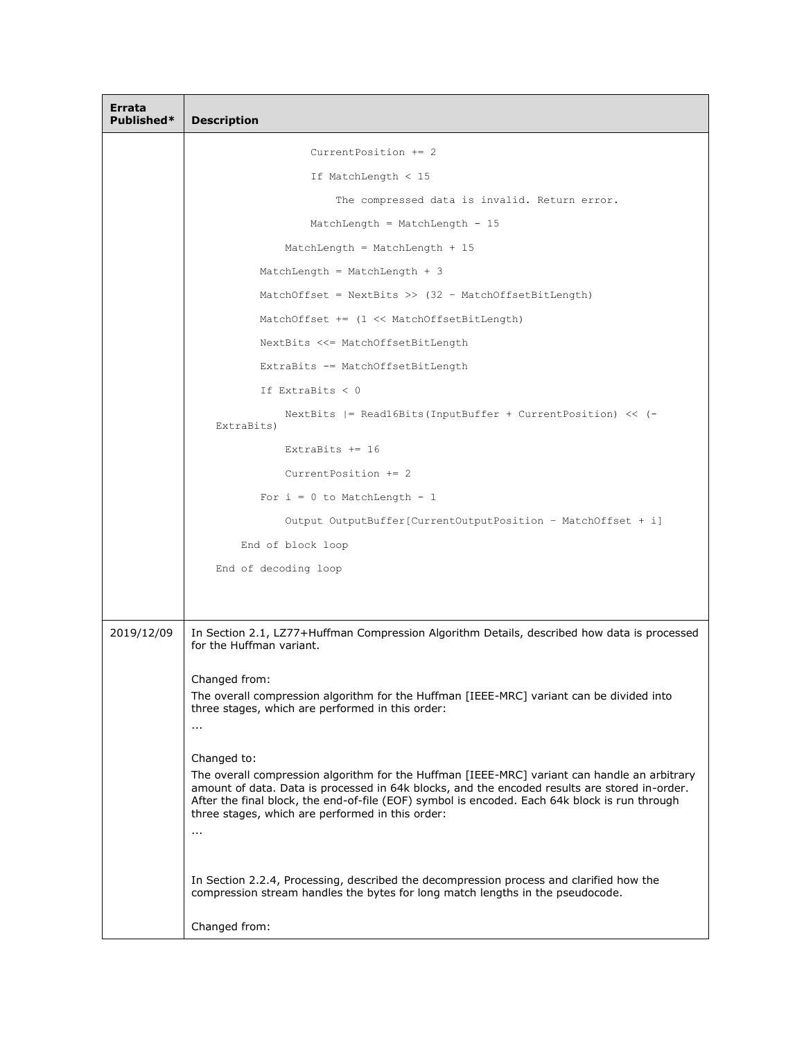| Errata<br>Published* | <b>Description</b>                                                                                                                                                                                                                                                                                                                                                             |
|----------------------|--------------------------------------------------------------------------------------------------------------------------------------------------------------------------------------------------------------------------------------------------------------------------------------------------------------------------------------------------------------------------------|
|                      | Current Position $+= 2$                                                                                                                                                                                                                                                                                                                                                        |
|                      | If MatchLength $<$ 15                                                                                                                                                                                                                                                                                                                                                          |
|                      | The compressed data is invalid. Return error.                                                                                                                                                                                                                                                                                                                                  |
|                      | MatchLength = MatchLength - $15$                                                                                                                                                                                                                                                                                                                                               |
|                      | MatchLength = MatchLength + $15$                                                                                                                                                                                                                                                                                                                                               |
|                      | MatchLength = MatchLength + $3$                                                                                                                                                                                                                                                                                                                                                |
|                      | MatchOffset = NextBits >> $(32 - MatchOffsetBitLength)$                                                                                                                                                                                                                                                                                                                        |
|                      | MatchOffset $+=$ $(1 \lt\lt$ MatchOffsetBitLength)                                                                                                                                                                                                                                                                                                                             |
|                      | NextBits <<= MatchOffsetBitLength                                                                                                                                                                                                                                                                                                                                              |
|                      | ExtraBits -= MatchOffsetBitLength                                                                                                                                                                                                                                                                                                                                              |
|                      | If ExtraBits $< 0$                                                                                                                                                                                                                                                                                                                                                             |
|                      | NextBits $ =$ Readl6Bits (InputBuffer + CurrentPosition) << $(-)$<br>ExtraBits)                                                                                                                                                                                                                                                                                                |
|                      | ExtraBits $+= 16$                                                                                                                                                                                                                                                                                                                                                              |
|                      | Current Position $+= 2$                                                                                                                                                                                                                                                                                                                                                        |
|                      | For $i = 0$ to MatchLength - 1                                                                                                                                                                                                                                                                                                                                                 |
|                      | Output OutputBuffer[CurrentOutputPosition - MatchOffset + i]                                                                                                                                                                                                                                                                                                                   |
|                      | End of block loop                                                                                                                                                                                                                                                                                                                                                              |
|                      | End of decoding loop                                                                                                                                                                                                                                                                                                                                                           |
|                      |                                                                                                                                                                                                                                                                                                                                                                                |
| 2019/12/09           | In Section 2.1, LZ77+Huffman Compression Algorithm Details, described how data is processed<br>for the Huffman variant.                                                                                                                                                                                                                                                        |
|                      | Changed from:<br>The overall compression algorithm for the Huffman [IEEE-MRC] variant can be divided into<br>three stages, which are performed in this order:<br>$\cdots$                                                                                                                                                                                                      |
|                      | Changed to:<br>The overall compression algorithm for the Huffman [IEEE-MRC] variant can handle an arbitrary<br>amount of data. Data is processed in 64k blocks, and the encoded results are stored in-order.<br>After the final block, the end-of-file (EOF) symbol is encoded. Each 64k block is run through<br>three stages, which are performed in this order:<br>$\ddotsc$ |
|                      | In Section 2.2.4, Processing, described the decompression process and clarified how the<br>compression stream handles the bytes for long match lengths in the pseudocode.                                                                                                                                                                                                      |
|                      | Changed from:                                                                                                                                                                                                                                                                                                                                                                  |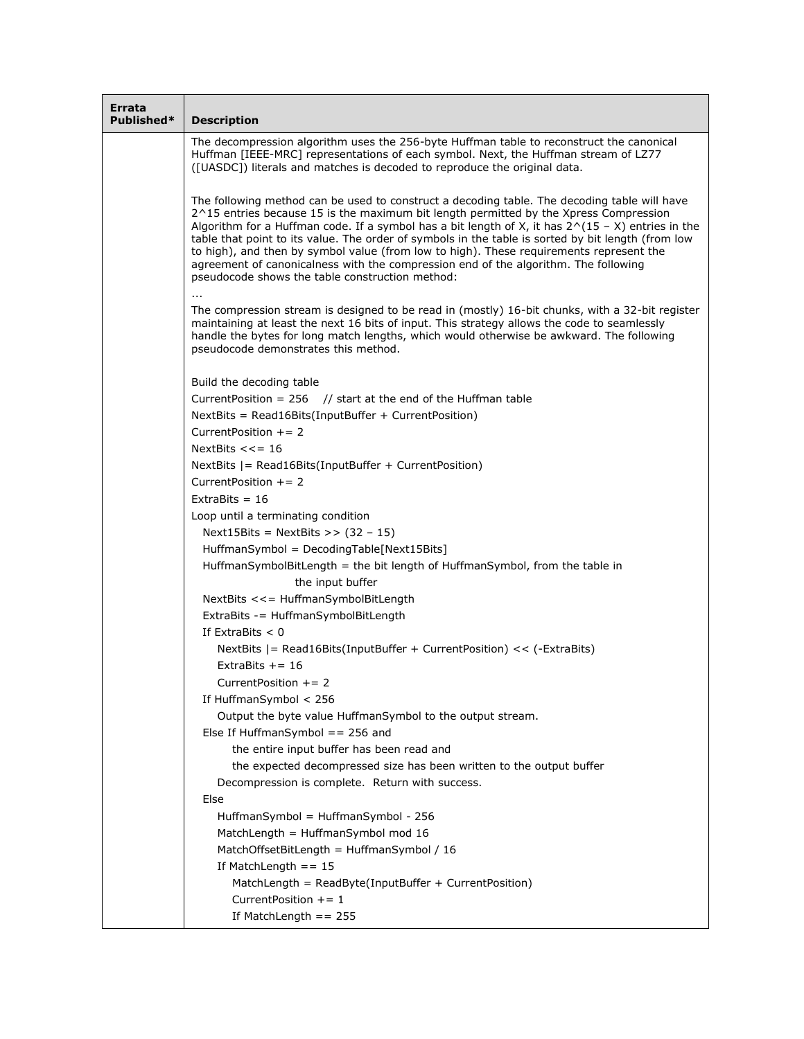| Errata<br>Published* | <b>Description</b>                                                                                                                                                                                                                                                                                                                                                                                                                                                                                                                                                                                                                       |
|----------------------|------------------------------------------------------------------------------------------------------------------------------------------------------------------------------------------------------------------------------------------------------------------------------------------------------------------------------------------------------------------------------------------------------------------------------------------------------------------------------------------------------------------------------------------------------------------------------------------------------------------------------------------|
|                      | The decompression algorithm uses the 256-byte Huffman table to reconstruct the canonical<br>Huffman [IEEE-MRC] representations of each symbol. Next, the Huffman stream of LZ77<br>([UASDC]) literals and matches is decoded to reproduce the original data.                                                                                                                                                                                                                                                                                                                                                                             |
|                      | The following method can be used to construct a decoding table. The decoding table will have<br>2^15 entries because 15 is the maximum bit length permitted by the Xpress Compression<br>Algorithm for a Huffman code. If a symbol has a bit length of X, it has $2^N(15 - X)$ entries in the<br>table that point to its value. The order of symbols in the table is sorted by bit length (from low<br>to high), and then by symbol value (from low to high). These requirements represent the<br>agreement of canonicalness with the compression end of the algorithm. The following<br>pseudocode shows the table construction method: |
|                      | The compression stream is designed to be read in (mostly) 16-bit chunks, with a 32-bit register<br>maintaining at least the next 16 bits of input. This strategy allows the code to seamlessly<br>handle the bytes for long match lengths, which would otherwise be awkward. The following<br>pseudocode demonstrates this method.                                                                                                                                                                                                                                                                                                       |
|                      | Build the decoding table                                                                                                                                                                                                                                                                                                                                                                                                                                                                                                                                                                                                                 |
|                      | Current Position = $256$ // start at the end of the Huffman table                                                                                                                                                                                                                                                                                                                                                                                                                                                                                                                                                                        |
|                      | NextBits = Read16Bits(InputBuffer + CurrentPosition)                                                                                                                                                                                                                                                                                                                                                                                                                                                                                                                                                                                     |
|                      | CurrentPosition $+= 2$                                                                                                                                                                                                                                                                                                                                                                                                                                                                                                                                                                                                                   |
|                      | NextBits $<<=16$                                                                                                                                                                                                                                                                                                                                                                                                                                                                                                                                                                                                                         |
|                      | NextBits $ =$ Read16Bits(InputBuffer + CurrentPosition)                                                                                                                                                                                                                                                                                                                                                                                                                                                                                                                                                                                  |
|                      | Current Position $+= 2$<br>ExtraBits = $16$                                                                                                                                                                                                                                                                                                                                                                                                                                                                                                                                                                                              |
|                      | Loop until a terminating condition                                                                                                                                                                                                                                                                                                                                                                                                                                                                                                                                                                                                       |
|                      | Next15Bits = NextBits >> $(32 - 15)$                                                                                                                                                                                                                                                                                                                                                                                                                                                                                                                                                                                                     |
|                      | HuffmanSymbol = DecodingTable[Next15Bits]                                                                                                                                                                                                                                                                                                                                                                                                                                                                                                                                                                                                |
|                      | HuffmanSymbolBitLength = the bit length of HuffmanSymbol, from the table in                                                                                                                                                                                                                                                                                                                                                                                                                                                                                                                                                              |
|                      | the input buffer                                                                                                                                                                                                                                                                                                                                                                                                                                                                                                                                                                                                                         |
|                      | NextBits <<= HuffmanSymbolBitLength                                                                                                                                                                                                                                                                                                                                                                                                                                                                                                                                                                                                      |
|                      | ExtraBits -= HuffmanSymbolBitLength                                                                                                                                                                                                                                                                                                                                                                                                                                                                                                                                                                                                      |
|                      | If ExtraBits $< 0$                                                                                                                                                                                                                                                                                                                                                                                                                                                                                                                                                                                                                       |
|                      | NextBits $ =$ Read16Bits(InputBuffer + CurrentPosition) << $(-Extrabits)$                                                                                                                                                                                                                                                                                                                                                                                                                                                                                                                                                                |
|                      | ExtraBits $+= 16$                                                                                                                                                                                                                                                                                                                                                                                                                                                                                                                                                                                                                        |
|                      | Current Position $+= 2$                                                                                                                                                                                                                                                                                                                                                                                                                                                                                                                                                                                                                  |
|                      | If HuffmanSymbol $< 256$                                                                                                                                                                                                                                                                                                                                                                                                                                                                                                                                                                                                                 |
|                      | Output the byte value HuffmanSymbol to the output stream.                                                                                                                                                                                                                                                                                                                                                                                                                                                                                                                                                                                |
|                      | Else If HuffmanSymbol $== 256$ and                                                                                                                                                                                                                                                                                                                                                                                                                                                                                                                                                                                                       |
|                      | the entire input buffer has been read and                                                                                                                                                                                                                                                                                                                                                                                                                                                                                                                                                                                                |
|                      | the expected decompressed size has been written to the output buffer                                                                                                                                                                                                                                                                                                                                                                                                                                                                                                                                                                     |
|                      | Decompression is complete. Return with success.                                                                                                                                                                                                                                                                                                                                                                                                                                                                                                                                                                                          |
|                      | Else                                                                                                                                                                                                                                                                                                                                                                                                                                                                                                                                                                                                                                     |
|                      | HuffmanSymbol = HuffmanSymbol - 256                                                                                                                                                                                                                                                                                                                                                                                                                                                                                                                                                                                                      |
|                      | MatchLength = HuffmanSymbol mod 16                                                                                                                                                                                                                                                                                                                                                                                                                                                                                                                                                                                                       |
|                      | MatchOffsetBitLength = HuffmanSymbol / 16                                                                                                                                                                                                                                                                                                                                                                                                                                                                                                                                                                                                |
|                      | If MatchLength $== 15$                                                                                                                                                                                                                                                                                                                                                                                                                                                                                                                                                                                                                   |
|                      | MatchLength = ReadByte(InputBuffer + CurrentPosition)                                                                                                                                                                                                                                                                                                                                                                                                                                                                                                                                                                                    |
|                      | Current Position $+= 1$                                                                                                                                                                                                                                                                                                                                                                                                                                                                                                                                                                                                                  |
|                      | If MatchLength $== 255$                                                                                                                                                                                                                                                                                                                                                                                                                                                                                                                                                                                                                  |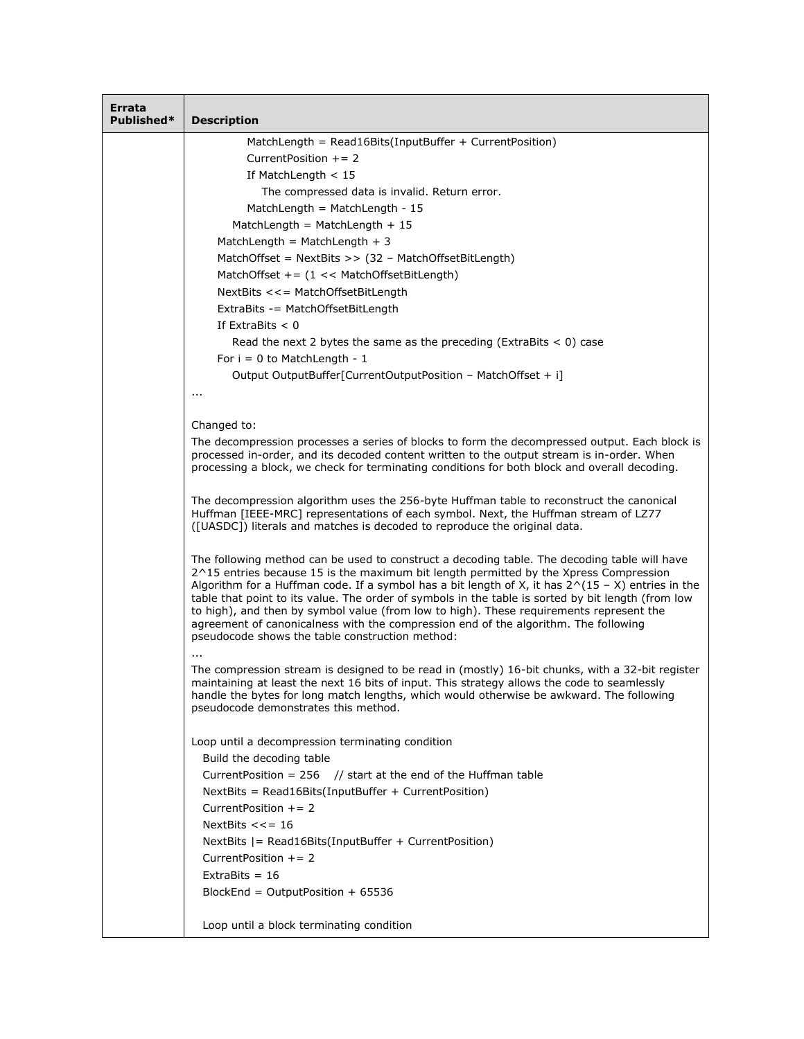| Errata<br>Published* | <b>Description</b>                                                                                                                                                                                                |
|----------------------|-------------------------------------------------------------------------------------------------------------------------------------------------------------------------------------------------------------------|
|                      | MatchLength = Read16Bits(InputBuffer + CurrentPosition)                                                                                                                                                           |
|                      | Current Position $+= 2$                                                                                                                                                                                           |
|                      | If MatchLength $<$ 15                                                                                                                                                                                             |
|                      | The compressed data is invalid. Return error.                                                                                                                                                                     |
|                      | MatchLength = MatchLength - 15                                                                                                                                                                                    |
|                      | MatchLength = MatchLength + $15$                                                                                                                                                                                  |
|                      | MatchLength = MatchLength + 3                                                                                                                                                                                     |
|                      | MatchOffset = NextBits >> (32 - MatchOffsetBitLength)                                                                                                                                                             |
|                      | MatchOffset += $(1 \lt k$ MatchOffsetBitLength)                                                                                                                                                                   |
|                      | NextBits <<= MatchOffsetBitLength                                                                                                                                                                                 |
|                      | ExtraBits -= MatchOffsetBitLength<br>If $ExtraBits < 0$                                                                                                                                                           |
|                      | Read the next 2 bytes the same as the preceding (ExtraBits $<$ 0) case                                                                                                                                            |
|                      | For $i = 0$ to MatchLength - 1                                                                                                                                                                                    |
|                      | Output OutputBuffer[CurrentOutputPosition - MatchOffset + i]                                                                                                                                                      |
|                      | $\cdots$                                                                                                                                                                                                          |
|                      |                                                                                                                                                                                                                   |
|                      | Changed to:                                                                                                                                                                                                       |
|                      | The decompression processes a series of blocks to form the decompressed output. Each block is                                                                                                                     |
|                      | processed in-order, and its decoded content written to the output stream is in-order. When<br>processing a block, we check for terminating conditions for both block and overall decoding.                        |
|                      |                                                                                                                                                                                                                   |
|                      | The decompression algorithm uses the 256-byte Huffman table to reconstruct the canonical                                                                                                                          |
|                      | Huffman [IEEE-MRC] representations of each symbol. Next, the Huffman stream of LZ77<br>([UASDC]) literals and matches is decoded to reproduce the original data.                                                  |
|                      |                                                                                                                                                                                                                   |
|                      | The following method can be used to construct a decoding table. The decoding table will have                                                                                                                      |
|                      | 2^15 entries because 15 is the maximum bit length permitted by the Xpress Compression                                                                                                                             |
|                      | Algorithm for a Huffman code. If a symbol has a bit length of X, it has $2^{\wedge}(15 - X)$ entries in the<br>table that point to its value. The order of symbols in the table is sorted by bit length (from low |
|                      | to high), and then by symbol value (from low to high). These requirements represent the                                                                                                                           |
|                      | agreement of canonicalness with the compression end of the algorithm. The following<br>pseudocode shows the table construction method:                                                                            |
|                      |                                                                                                                                                                                                                   |
|                      | The compression stream is designed to be read in (mostly) 16-bit chunks, with a 32-bit register                                                                                                                   |
|                      | maintaining at least the next 16 bits of input. This strategy allows the code to seamlessly                                                                                                                       |
|                      | handle the bytes for long match lengths, which would otherwise be awkward. The following<br>pseudocode demonstrates this method.                                                                                  |
|                      |                                                                                                                                                                                                                   |
|                      | Loop until a decompression terminating condition                                                                                                                                                                  |
|                      | Build the decoding table                                                                                                                                                                                          |
|                      | Current Position = $256$ // start at the end of the Huffman table                                                                                                                                                 |
|                      | NextBits = Read16Bits(InputBuffer + CurrentPosition)                                                                                                                                                              |
|                      | CurrentPosition $+= 2$                                                                                                                                                                                            |
|                      | NextBits $<<=16$                                                                                                                                                                                                  |
|                      | NextBits $ =$ Read16Bits(InputBuffer + CurrentPosition)                                                                                                                                                           |
|                      | Current Position $+= 2$                                                                                                                                                                                           |
|                      | ExtraBits = $16$                                                                                                                                                                                                  |
|                      | BlockEnd = OutputPosition + $65536$                                                                                                                                                                               |
|                      | Loop until a block terminating condition                                                                                                                                                                          |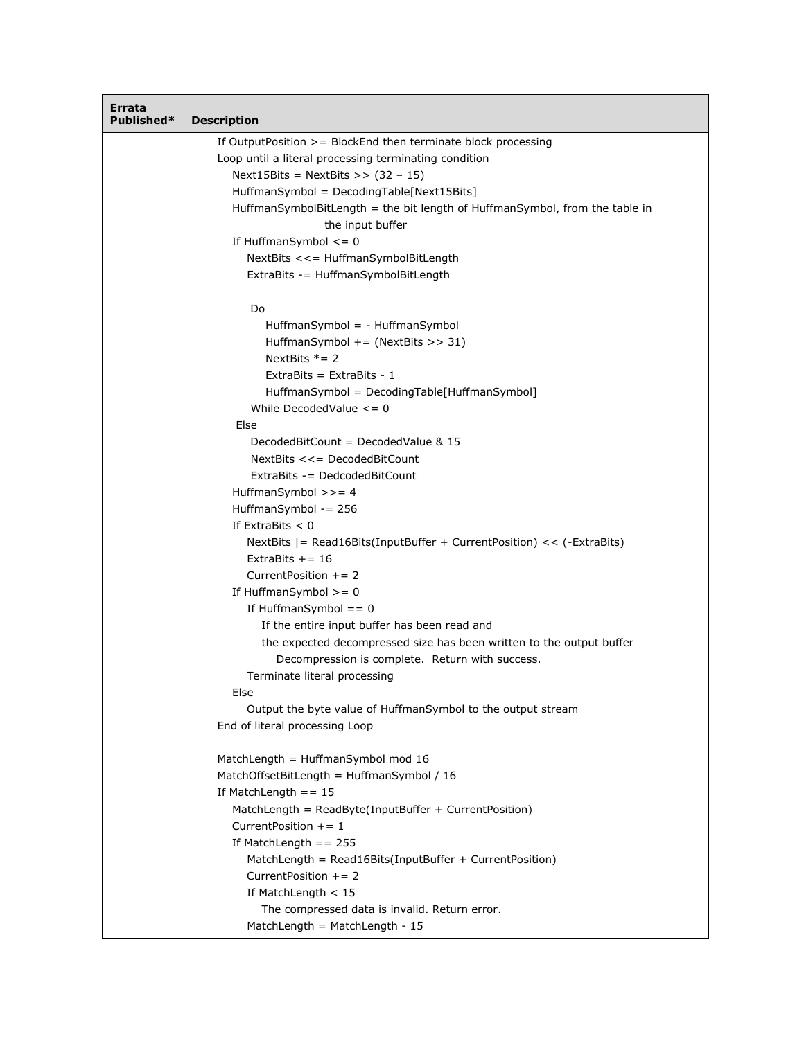| Errata<br>Published* | <b>Description</b>                                                          |
|----------------------|-----------------------------------------------------------------------------|
|                      | If Output Position $>=$ Block End then terminate block processing           |
|                      | Loop until a literal processing terminating condition                       |
|                      | Next15Bits = NextBits >> $(32 - 15)$                                        |
|                      | HuffmanSymbol = DecodingTable[Next15Bits]                                   |
|                      | HuffmanSymbolBitLength = the bit length of HuffmanSymbol, from the table in |
|                      | the input buffer                                                            |
|                      | If HuffmanSymbol $\leq$ = 0                                                 |
|                      | NextBits <<= HuffmanSymbolBitLength                                         |
|                      | ExtraBits -= HuffmanSymbolBitLength                                         |
|                      | Do                                                                          |
|                      | HuffmanSymbol = - HuffmanSymbol                                             |
|                      | HuffmanSymbol $+=$ (NextBits >> 31)                                         |
|                      | NextBits $* = 2$                                                            |
|                      | ExtraBits = ExtraBits - $1$                                                 |
|                      | HuffmanSymbol = DecodingTable[HuffmanSymbol]                                |
|                      | While Decoded Value $\leq$ = 0                                              |
|                      | Else                                                                        |
|                      | DecodedBitCount = DecodedValue $&$ 15                                       |
|                      | NextBits <<= DecodedBitCount                                                |
|                      | ExtraBits -= DedcodedBitCount                                               |
|                      | HuffmanSymbol $>>=4$                                                        |
|                      | HuffmanSymbol $-256$                                                        |
|                      | If ExtraBits $< 0$                                                          |
|                      | NextBits $ =$ Read16Bits(InputBuffer + CurrentPosition) << $(-Extrabits)$   |
|                      | ExtraBits $+= 16$                                                           |
|                      | Current Position $+= 2$                                                     |
|                      | If HuffmanSymbol $>= 0$                                                     |
|                      | If HuffmanSymbol $== 0$                                                     |
|                      | If the entire input buffer has been read and                                |
|                      | the expected decompressed size has been written to the output buffer        |
|                      | Decompression is complete. Return with success.                             |
|                      | Terminate literal processing<br>Else                                        |
|                      | Output the byte value of HuffmanSymbol to the output stream                 |
|                      | End of literal processing Loop                                              |
|                      | MatchLength = HuffmanSymbol mod 16                                          |
|                      | MatchOffsetBitLength = HuffmanSymbol / 16                                   |
|                      | If MatchLength $== 15$                                                      |
|                      | MatchLength = ReadByte(InputBuffer + CurrentPosition)                       |
|                      | Current Position $+= 1$                                                     |
|                      | If MatchLength $== 255$                                                     |
|                      | MatchLength = Read16Bits(InputBuffer + CurrentPosition)                     |
|                      | Current Position $+= 2$                                                     |
|                      | If MatchLength $<$ 15                                                       |
|                      | The compressed data is invalid. Return error.                               |
|                      | MatchLength = MatchLength - 15                                              |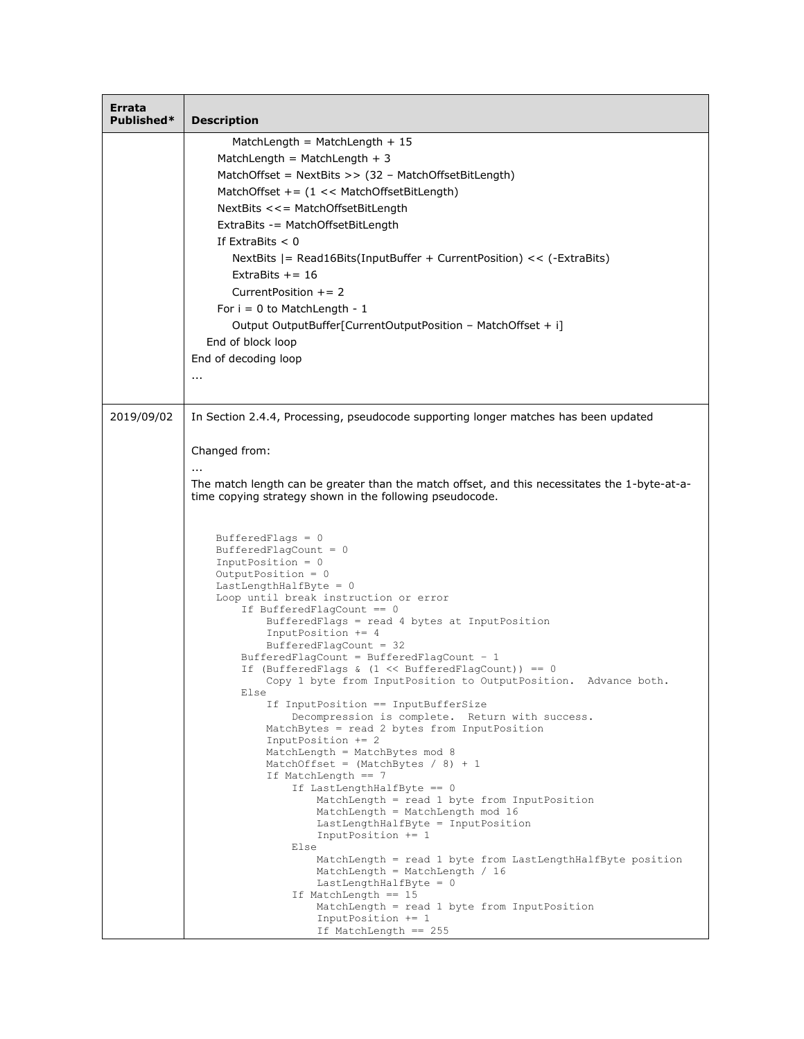| Errata<br>Published* | <b>Description</b>                                                                                                                                        |
|----------------------|-----------------------------------------------------------------------------------------------------------------------------------------------------------|
|                      | MatchLength = MatchLength + $15$                                                                                                                          |
|                      | MatchLength = MatchLength + 3                                                                                                                             |
|                      | MatchOffset = NextBits >> (32 - MatchOffsetBitLength)                                                                                                     |
|                      | MatchOffset += $(1 \lt k$ MatchOffsetBitLength)                                                                                                           |
|                      | NextBits <<= MatchOffsetBitLength                                                                                                                         |
|                      | ExtraBits -= MatchOffsetBitLength                                                                                                                         |
|                      | If $ExtraBits < 0$                                                                                                                                        |
|                      | NextBits $ =$ Read16Bits(InputBuffer + CurrentPosition) << $(-Extrabits)$                                                                                 |
|                      | ExtraBits $+= 16$                                                                                                                                         |
|                      | Current Position $+= 2$                                                                                                                                   |
|                      | For $i = 0$ to MatchLength - 1                                                                                                                            |
|                      | Output OutputBuffer[CurrentOutputPosition - MatchOffset + i]                                                                                              |
|                      | End of block loop                                                                                                                                         |
|                      | End of decoding loop                                                                                                                                      |
|                      | $\cdots$                                                                                                                                                  |
|                      |                                                                                                                                                           |
| 2019/09/02           | In Section 2.4.4, Processing, pseudocode supporting longer matches has been updated                                                                       |
|                      |                                                                                                                                                           |
|                      | Changed from:                                                                                                                                             |
|                      | The match length can be greater than the match offset, and this necessitates the 1-byte-at-a-<br>time copying strategy shown in the following pseudocode. |
|                      |                                                                                                                                                           |
|                      | BufferedFlags = $0$                                                                                                                                       |
|                      | BufferedFlagCount = $0$<br>$InputPosition = 0$                                                                                                            |
|                      | OutputPosition = $0$                                                                                                                                      |
|                      | $LastLengthHalfByte = 0$<br>Loop until break instruction or error                                                                                         |
|                      | If BufferedFlagCount $== 0$                                                                                                                               |
|                      | BufferedFlags = read 4 bytes at InputPosition                                                                                                             |
|                      | InputPosition += 4<br>BufferedFlagCount = $32$                                                                                                            |
|                      | BufferedFlagCount = BufferedFlagCount - 1                                                                                                                 |
|                      | If (BufferedFlags & $(1 \ll$ BufferedFlagCount)) == 0                                                                                                     |
|                      | Copy 1 byte from InputPosition to OutputPosition. Advance both<br>Else                                                                                    |
|                      | If InputPosition == InputBufferSize                                                                                                                       |
|                      | Decompression is complete. Return with success.<br>MatchBytes = read 2 bytes from InputPosition                                                           |
|                      | InputPosition += 2                                                                                                                                        |
|                      | MatchLength = MatchBytes mod 8<br>MatchOffset = $(MatchBytes / 8) + 1$                                                                                    |
|                      | If MatchLength == 7                                                                                                                                       |
|                      | If LastLengthHalfByte == 0                                                                                                                                |
|                      | $MatchLength = read 1 byte from InputPosition$<br>MatchLength = MatchLength mod 16                                                                        |
|                      | LastLengthHalfByte = InputPosition                                                                                                                        |
|                      | InputPosition $+= 1$                                                                                                                                      |
|                      | Else<br>MatchLength = read 1 byte from LastLengthHalfByte position                                                                                        |
|                      | MatchLength = MatchLength / 16                                                                                                                            |
|                      | LastLengthHalfByte = 0<br>If MatchLength == 15                                                                                                            |
|                      | MatchLength = read 1 byte from InputPosition                                                                                                              |
|                      | InputPosition $+= 1$                                                                                                                                      |
|                      | If MatchLength == 255                                                                                                                                     |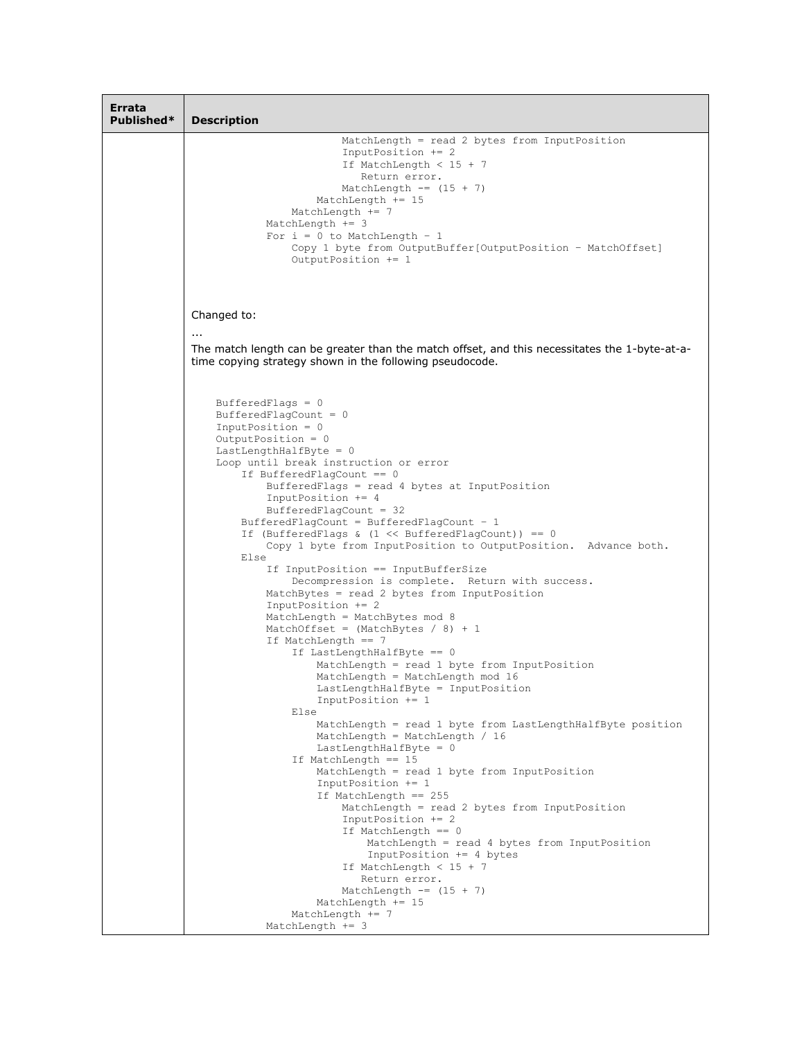| Errata<br>Published* | <b>Description</b>                                                                                                                                                                                                                                    |
|----------------------|-------------------------------------------------------------------------------------------------------------------------------------------------------------------------------------------------------------------------------------------------------|
|                      | MatchLength = read 2 bytes from InputPosition<br>$InputPosition += 2$<br>If MatchLength $<$ 15 + 7<br>Return error.<br>MatchLength $==$ (15 + 7)<br>MatchLength $+= 15$<br>MatchLength $+= 7$<br>MatchLength $+=$ 3<br>For $i = 0$ to MatchLength - 1 |
|                      | Copy 1 byte from OutputBuffer [OutputPosition - MatchOffset]<br>OutputPosition += 1                                                                                                                                                                   |
|                      | Changed to:                                                                                                                                                                                                                                           |
|                      | $\cdots$<br>The match length can be greater than the match offset, and this necessitates the 1-byte-at-a-<br>time copying strategy shown in the following pseudocode.                                                                                 |
|                      | BufferedFlags = $0$<br>BufferedFlagCount = $0$<br>$InputPosition = 0$<br>Output Position = $0$                                                                                                                                                        |
|                      | $LastLengthHalfByte = 0$<br>Loop until break instruction or error<br>If BufferedFlagCount $== 0$                                                                                                                                                      |
|                      | BufferedFlags = read 4 bytes at InputPosition<br>InputPosition $+= 4$<br>$BufferedFlagCount = 32$                                                                                                                                                     |
|                      | BufferedFlagCount = BufferedFlagCount - $1$<br>If (BufferedFlags & $(1 \ll$ BufferedFlagCount)) == 0<br>Copy 1 byte from InputPosition to OutputPosition. Advance both.<br>Else                                                                       |
|                      | If InputPosition == InputBufferSize<br>Decompression is complete. Return with success.<br>MatchBytes = read 2 bytes from InputPosition<br>InputPosition += 2                                                                                          |
|                      | MatchLength = MatchBytes mod 8<br>MatchOffset = $(MatchBytes / 8) + 1$<br>If MatchLength $== 7$                                                                                                                                                       |
|                      | If LastLengthHalfByte == 0<br>MatchLength = read 1 byte from InputPosition<br>MatchLength = MatchLength mod 16<br>LastLengthHalfByte = InputPosition                                                                                                  |
|                      | InputPosition $+= 1$<br>Else<br>MatchLength = read 1 byte from LastLengthHalfByte position<br>MatchLength = MatchLength / 16                                                                                                                          |
|                      | LastLengthHalfByte = $0$<br>If MatchLength == 15<br>MatchLength = read 1 byte from InputPosition                                                                                                                                                      |
|                      | $InputPosition += 1$<br>If MatchLength == 255<br>MatchLength = read 2 bytes from InputPosition<br>$InputPosition += 2$                                                                                                                                |
|                      | If MatchLength == 0<br>$MatchLength = read 4 bytes from InputPosition$<br>InputPosition += 4 bytes                                                                                                                                                    |
|                      | If MatchLength $<$ 15 + 7<br>Return error.<br>MatchLength $==$ (15 + 7)<br>MatchLength $+= 15$                                                                                                                                                        |
|                      | MatchLength $+= 7$<br>MatchLength $+=$ 3                                                                                                                                                                                                              |